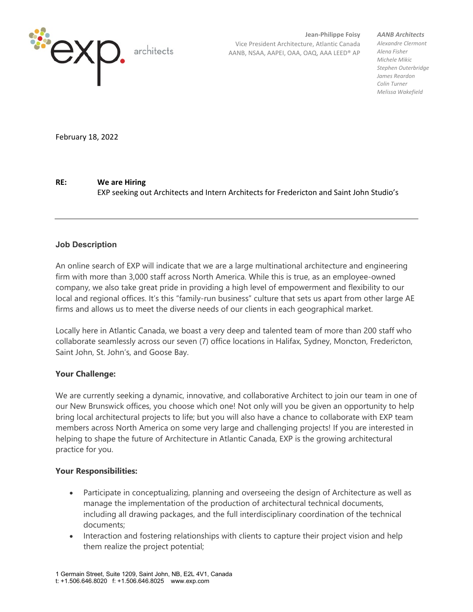

**Jean-Philippe Foisy** Vice President Architecture, Atlantic Canada AANB, NSAA, AAPEI, OAA, OAQ, AAA LEED® AP *AANB Architects*

*Alexandre Clermont Alena Fisher Michele Mikic Stephen Outerbridge James Reardon Colin Turner Melissa Wakefield*

February 18, 2022

**RE: We are Hiring**

EXP seeking out Architects and Intern Architects for Fredericton and Saint John Studio's

## **Job Description**

An online search of EXP will indicate that we are a large multinational architecture and engineering firm with more than 3,000 staff across North America. While this is true, as an employee-owned company, we also take great pride in providing a high level of empowerment and flexibility to our local and regional offices. It's this "family-run business" culture that sets us apart from other large AE firms and allows us to meet the diverse needs of our clients in each geographical market.

Locally here in Atlantic Canada, we boast a very deep and talented team of more than 200 staff who collaborate seamlessly across our seven (7) office locations in Halifax, Sydney, Moncton, Fredericton, Saint John, St. John's, and Goose Bay.

## **Your Challenge:**

We are currently seeking a dynamic, innovative, and collaborative Architect to join our team in one of our New Brunswick offices, you choose which one! Not only will you be given an opportunity to help bring local architectural projects to life; but you will also have a chance to collaborate with EXP team members across North America on some very large and challenging projects! If you are interested in helping to shape the future of Architecture in Atlantic Canada, EXP is the growing architectural practice for you.

## **Your Responsibilities:**

- Participate in conceptualizing, planning and overseeing the design of Architecture as well as manage the implementation of the production of architectural technical documents, including all drawing packages, and the full interdisciplinary coordination of the technical documents;
- Interaction and fostering relationships with clients to capture their project vision and help them realize the project potential;